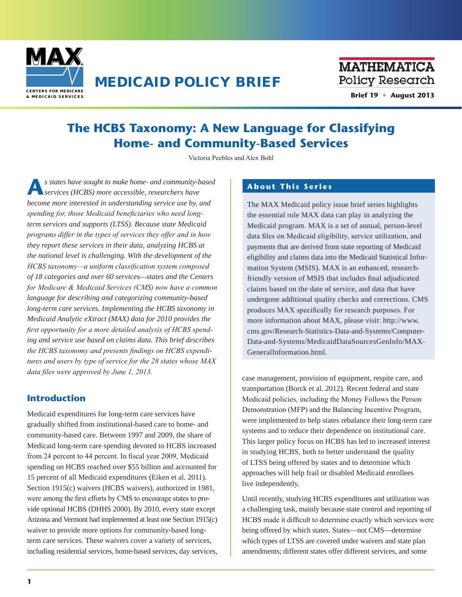

# MEDICAID POLICY BRIEF

**MATHEMATICA Policy Research** 

**Brief 19** • **August 2013**

## **The HCBS Taxonomy: A New Language for Classifying Home- and Community-Based Services**

Victoria Peebles and Alex Bohl

**A***s states have sought to make home- and community-based services (HCBS) more accessible, researchers have become more interested in understanding service use by, and spending for, those Medicaid beneficiaries who need longterm services and supports (LTSS). Because state Medicaid programs differ in the types of services they offer and in how they report these services in their data, analyzing HCBS at the national level is challenging. With the development of the HCBS taxonomy—a uniform classification system composed of 18 categories and over 60 services—states and the Centers for Medicare & Medicaid Services (CMS) now have a common language for describing and categorizing community-based long-term care services. Implementing the HCBS taxonomy in Medicaid Analytic eXtract (MAX) data for 2010 provides the first opportunity for a more detailed analysis of HCBS spending and service use based on claims data. This brief describes the HCBS taxonomy and presents findings on HCBS expenditures and users by type of service for the 28 states whose MAX data files were approved by June 1, 2013.*

## **Introduction**

Medicaid expenditures for long-term care services have gradually shifted from institutional-based care to home- and community-based care. Between 1997 and 2009, the share of Medicaid long-term care spending devoted to HCBS increased from 24 percent to 44 percent. In fiscal year 2009, Medicaid spending on HCBS reached over \$55 billion and accounted for 15 percent of all Medicaid expenditures (Eiken et al. 2011). Section 1915(c) waivers (HCBS waivers), authorized in 1981, were among the first efforts by CMS to encourage states to provide optional HCBS (DHHS 2000). By 2010, every state except Arizona and Vermont had implemented at least one Section 1915(c) waiver to provide more options for community-based longterm care services. These waivers cover a variety of services, including residential services, home-based services, day services,

## **About This Series**

The MAX Medicaid policy issue brief series highlights the essential role MAX data can play in analyzing the Medicaid program. MAX is a set of annual, person-level data files on Medicaid eligibility, service utilization, and payments that are derived from state reporting of Medicaid eligibility and claims data into the Medicaid Statistical Information System (MSIS). MAX is an enhanced, researchfriendly version of MSIS that includes final adjudicated claims based on the date of service, and data that have undergone additional quality checks and corrections. CMS produces MAX specifically for research purposes. For more information about MAX, please visit: [http://www.](http://www.cms.gov/Research-Statistics-Data-and-Systems/Computer-Data-and-Systems/MedicaidDataSourcesGenInfo/MAXGeneralInformation.html) [cms.gov/Research-Statistics-Data-and-Systems/Computer-](http://www.cms.gov/Research-Statistics-Data-and-Systems/Computer-Data-and-Systems/MedicaidDataSourcesGenInfo/MAXGeneralInformation.html)[Data-and-Systems/MedicaidDataSourcesGenInfo/MAX-](http://www.cms.gov/Research-Statistics-Data-and-Systems/Computer-Data-and-Systems/MedicaidDataSourcesGenInfo/MAXGeneralInformation.html)[GeneralInformation.html.](http://www.cms.gov/Research-Statistics-Data-and-Systems/Computer-Data-and-Systems/MedicaidDataSourcesGenInfo/MAXGeneralInformation.html)

case management, provision of equipment, respite care, and transportation (Borck et al. 2012). Recent federal and state Medicaid policies, including the Money Follows the Person Demonstration (MFP) and the Balancing Incentive Program, were implemented to help states rebalance their long-term care systems and to reduce their dependence on institutional care. This larger policy focus on HCBS has led to increased interest in studying HCBS, both to better understand the quality of LTSS being offered by states and to determine which approaches will help frail or disabled Medicaid enrollees live independently.

Until recently, studying HCBS expenditures and utilization was a challenging task, mainly because state control and reporting of HCBS made it difficult to determine exactly which services were being offered by which states. States—not CMS—determine which types of LTSS are covered under waivers and state plan amendments; different states offer different services, and some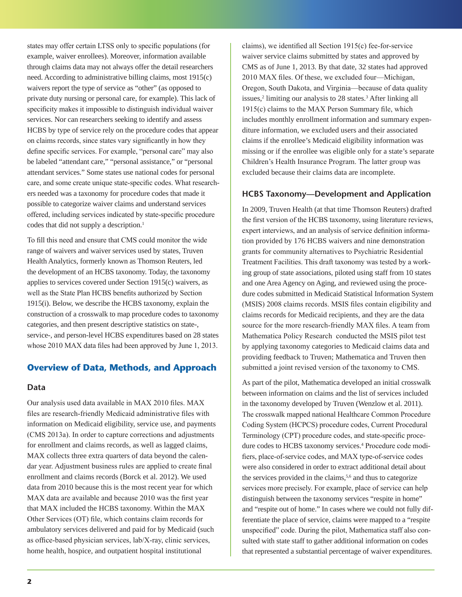states may offer certain LTSS only to specific populations (for example, waiver enrollees). Moreover, information available through claims data may not always offer the detail researchers need. According to administrative billing claims, most 1915(c) waivers report the type of service as "other" (as opposed to private duty nursing or personal care, for example). This lack of specificity makes it impossible to distinguish individual waiver services. Nor can researchers seeking to identify and assess HCBS by type of service rely on the procedure codes that appear on claims records, since states vary significantly in how they define specific services. For example, "personal care" may also be labeled "attendant care," "personal assistance," or "personal attendant services." Some states use national codes for personal care, and some create unique state-specific codes. What researchers needed was a taxonomy for procedure codes that made it possible to categorize waiver claims and understand services offered, including services indicated by state-specific procedure codes that did not supply a description.<sup>1</sup>

To fill this need and ensure that CMS could monitor the wide range of waivers and waiver services used by states, Truven Health Analytics, formerly known as Thomson Reuters, led the development of an HCBS taxonomy. Today, the taxonomy applies to services covered under Section 1915(c) waivers, as well as the State Plan HCBS benefits authorized by Section 1915(i). Below, we describe the HCBS taxonomy, explain the construction of a crosswalk to map procedure codes to taxonomy categories, and then present descriptive statistics on state-, service-, and person-level HCBS expenditures based on 28 states whose 2010 MAX data files had been approved by June 1, 2013.

## **Overview of Data, Methods, and Approach**

#### **Data**

Our analysis used data available in MAX 2010 files. MAX files are research-friendly Medicaid administrative files with information on Medicaid eligibility, service use, and payments (CMS 2013a). In order to capture corrections and adjustments for enrollment and claims records, as well as lagged claims, MAX collects three extra quarters of data beyond the calendar year. Adjustment business rules are applied to create final enrollment and claims records (Borck et al. 2012). We used data from 2010 because this is the most recent year for which MAX data are available and because 2010 was the first year that MAX included the HCBS taxonomy. Within the MAX Other Services (OT) file, which contains claim records for ambulatory services delivered and paid for by Medicaid (such as office-based physician services, lab/X-ray, clinic services, home health, hospice, and outpatient hospital institutional

claims), we identified all Section 1915(c) fee-for-service waiver service claims submitted by states and approved by CMS as of June 1, 2013. By that date, 32 states had approved 2010 MAX files. Of these, we excluded four—Michigan, Oregon, South Dakota, and Virginia—because of data quality issues,<sup>2</sup> limiting our analysis to 28 states.<sup>3</sup> After linking all 1915(c) claims to the MAX Person Summary file, which includes monthly enrollment information and summary expenditure information, we excluded users and their associated claims if the enrollee's Medicaid eligibility information was missing or if the enrollee was eligible only for a state's separate Children's Health Insurance Program. The latter group was excluded because their claims data are incomplete.

#### **HCBS Taxonomy—Development and Application**

In 2009, Truven Health (at that time Thomson Reuters) drafted the first version of the HCBS taxonomy, using literature reviews, expert interviews, and an analysis of service definition information provided by 176 HCBS waivers and nine demonstration grants for community alternatives to Psychiatric Residential Treatment Facilities. This draft taxonomy was tested by a working group of state associations, piloted using staff from 10 states and one Area Agency on Aging, and reviewed using the procedure codes submitted in Medicaid Statistical Information System (MSIS) 2008 claims records. MSIS files contain eligibility and claims records for Medicaid recipients, and they are the data source for the more research-friendly MAX files. A team from Mathematica Policy Research conducted the MSIS pilot test by applying taxonomy categories to Medicaid claims data and providing feedback to Truven; Mathematica and Truven then submitted a joint revised version of the taxonomy to CMS.

As part of the pilot, Mathematica developed an initial crosswalk between information on claims and the list of services included in the taxonomy developed by Truven (Wenzlow et al. 2011). The crosswalk mapped national Healthcare Common Procedure Coding System (HCPCS) procedure codes, Current Procedural Terminology (CPT) procedure codes, and state-specific procedure codes to HCBS taxonomy services.<sup>4</sup> Procedure code modifiers, place-of-service codes, and MAX type-of-service codes were also considered in order to extract additional detail about the services provided in the claims,5,6 and thus to categorize services more precisely. For example, place of service can help distinguish between the taxonomy services "respite in home" and "respite out of home." In cases where we could not fully differentiate the place of service, claims were mapped to a "respite unspecified" code. During the pilot, Mathematica staff also consulted with state staff to gather additional information on codes that represented a substantial percentage of waiver expenditures.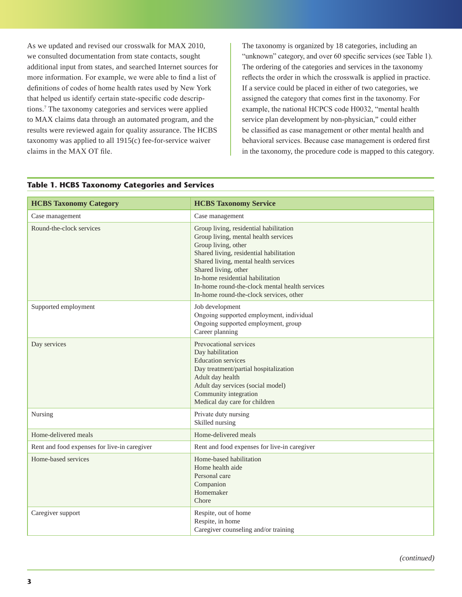As we updated and revised our crosswalk for MAX 2010, we consulted documentation from state contacts, sought additional input from states, and searched Internet sources for more information. For example, we were able to find a list of definitions of codes of home health rates used by New York that helped us identify certain state-specific code descriptions.7 The taxonomy categories and services were applied to MAX claims data through an automated program, and the results were reviewed again for quality assurance. The HCBS taxonomy was applied to all 1915(c) fee-for-service waiver claims in the MAX OT file.

The taxonomy is organized by 18 categories, including an "unknown" category, and over 60 specific services (see Table 1). The ordering of the categories and services in the taxonomy reflects the order in which the crosswalk is applied in practice. If a service could be placed in either of two categories, we assigned the category that comes first in the taxonomy. For example, the national HCPCS code H0032, "mental health service plan development by non-physician," could either be classified as case management or other mental health and behavioral services. Because case management is ordered first in the taxonomy, the procedure code is mapped to this category.

| <b>HCBS Taxonomy Category</b>                | <b>HCBS Taxonomy Service</b>                                                                                                                                                                                                                                                                                                                       |
|----------------------------------------------|----------------------------------------------------------------------------------------------------------------------------------------------------------------------------------------------------------------------------------------------------------------------------------------------------------------------------------------------------|
| Case management                              | Case management                                                                                                                                                                                                                                                                                                                                    |
| Round-the-clock services                     | Group living, residential habilitation<br>Group living, mental health services<br>Group living, other<br>Shared living, residential habilitation<br>Shared living, mental health services<br>Shared living, other<br>In-home residential habilitation<br>In-home round-the-clock mental health services<br>In-home round-the-clock services, other |
| Supported employment                         | Job development<br>Ongoing supported employment, individual<br>Ongoing supported employment, group<br>Career planning                                                                                                                                                                                                                              |
| Day services                                 | Prevocational services<br>Day habilitation<br><b>Education</b> services<br>Day treatment/partial hospitalization<br>Adult day health<br>Adult day services (social model)<br>Community integration<br>Medical day care for children                                                                                                                |
| Nursing                                      | Private duty nursing<br>Skilled nursing                                                                                                                                                                                                                                                                                                            |
| Home-delivered meals                         | Home-delivered meals                                                                                                                                                                                                                                                                                                                               |
| Rent and food expenses for live-in caregiver | Rent and food expenses for live-in caregiver                                                                                                                                                                                                                                                                                                       |
| Home-based services                          | Home-based habilitation<br>Home health aide<br>Personal care<br>Companion<br>Homemaker<br>Chore                                                                                                                                                                                                                                                    |
| Caregiver support                            | Respite, out of home<br>Respite, in home<br>Caregiver counseling and/or training                                                                                                                                                                                                                                                                   |

#### **Table 1. HCBS Taxonomy Categories and Services**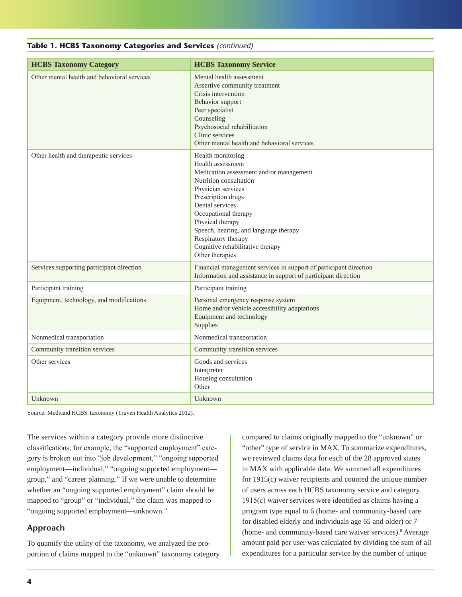| <b>HCBS Taxonomy Category</b>               | <b>HCBS Taxonomy Service</b>                                                                                                                                                                                                                                                                                                                  |
|---------------------------------------------|-----------------------------------------------------------------------------------------------------------------------------------------------------------------------------------------------------------------------------------------------------------------------------------------------------------------------------------------------|
| Other mental health and behavioral services | Mental health assessment<br>Assertive community treatment<br>Crisis intervention<br>Behavior support<br>Peer specialist<br>Counseling<br>Psychosocial rehabilitation<br>Clinic services<br>Other mental health and behavioral services                                                                                                        |
| Other health and therapeutic services       | Health monitoring<br>Health assessment<br>Medication assessment and/or management<br>Nutrition consultation<br>Physician services<br>Prescription drugs<br>Dental services<br>Occupational therapy<br>Physical therapy<br>Speech, hearing, and language therapy<br>Respiratory therapy<br>Cognitive rehabilitative therapy<br>Other therapies |
| Services supporting participant direction   | Financial management services in support of participant direction<br>Information and assistance in support of participant direction                                                                                                                                                                                                           |
| Participant training                        | Participant training                                                                                                                                                                                                                                                                                                                          |
| Equipment, technology, and modifications    | Personal emergency response system<br>Home and/or vehicle accessibility adaptations<br>Equipment and technology<br>Supplies                                                                                                                                                                                                                   |
| Nonmedical transportation                   | Nonmedical transportation                                                                                                                                                                                                                                                                                                                     |
| Community transition services               | Community transition services                                                                                                                                                                                                                                                                                                                 |
| Other services                              | Goods and services<br>Interpreter<br>Housing consultation<br>Other                                                                                                                                                                                                                                                                            |
| Unknown                                     | Unknown                                                                                                                                                                                                                                                                                                                                       |

## **Table 1. HCBS Taxonomy Categories and Services** *(continued)*

Source: Medicaid HCBS Taxonomy (Truven Health Analytics 2012).

The services within a category provide more distinctive classifications; for example, the "supported employment" category is broken out into "job development," "ongoing supported employment—individual," "ongoing supported employment group," and "career planning." If we were unable to determine whether an "ongoing supported employment" claim should be mapped to "group" or "individual," the claim was mapped to "ongoing supported employment—unknown."

## **Approach**

To quantify the utility of the taxonomy, we analyzed the proportion of claims mapped to the "unknown" taxonomy category compared to claims originally mapped to the "unknown" or "other" type of service in MAX. To summarize expenditures, we reviewed claims data for each of the 28 approved states in MAX with applicable data. We summed all expenditures for 1915(c) waiver recipients and counted the unique number of users across each HCBS taxonomy service and category. 1915(c) waiver services were identified as claims having a program type equal to 6 (home- and community-based care for disabled elderly and individuals age 65 and older) or 7 (home- and community-based care waiver services).<sup>8</sup> Average amount paid per user was calculated by dividing the sum of all expenditures for a particular service by the number of unique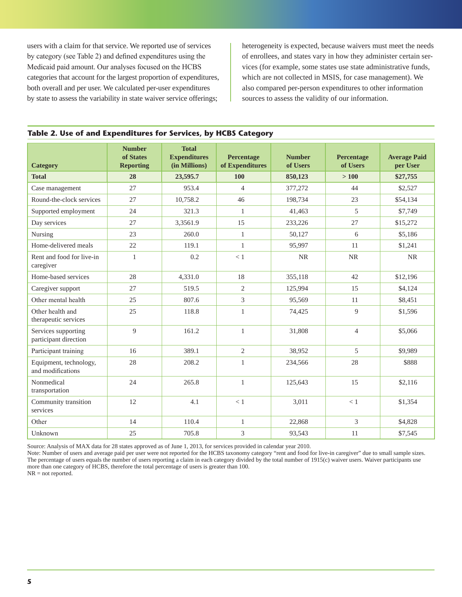users with a claim for that service. We reported use of services by category (see Table 2) and defined expenditures using the Medicaid paid amount. Our analyses focused on the HCBS categories that account for the largest proportion of expenditures, both overall and per user. We calculated per-user expenditures by state to assess the variability in state waiver service offerings;

heterogeneity is expected, because waivers must meet the needs of enrollees, and states vary in how they administer certain services (for example, some states use state administrative funds, which are not collected in MSIS, for case management). We also compared per-person expenditures to other information sources to assess the validity of our information.

| <b>Category</b>                              | <b>Number</b><br>of States<br><b>Reporting</b> | <b>Total</b><br><b>Expenditures</b><br>(in Millions) | Percentage<br>of Expenditures | <b>Number</b><br>of Users | Percentage<br>of Users | <b>Average Paid</b><br>per User |
|----------------------------------------------|------------------------------------------------|------------------------------------------------------|-------------------------------|---------------------------|------------------------|---------------------------------|
| <b>Total</b>                                 | 28                                             | 23,595.7                                             | <b>100</b>                    | 850,123                   | >100                   | \$27,755                        |
| Case management                              | 27                                             | 953.4                                                | $\overline{4}$                | 377,272                   | 44                     | \$2,527                         |
| Round-the-clock services                     | 27                                             | 10,758.2                                             | 46                            | 198,734                   | 23                     | \$54,134                        |
| Supported employment                         | 24                                             | 321.3                                                | $\mathbf{1}$                  | 41,463                    | 5                      | \$7,749                         |
| Day services                                 | 27                                             | 3,3561.9                                             | 15                            | 233,226                   | 27                     | \$15,272                        |
| Nursing                                      | 23                                             | 260.0                                                | $\mathbf{1}$                  | 50,127                    | 6                      | \$5,186                         |
| Home-delivered meals                         | 22                                             | 119.1                                                | $\mathbf{1}$                  | 95,997                    | 11                     | \$1,241                         |
| Rent and food for live-in<br>caregiver       | $\mathbf{1}$                                   | 0.2                                                  | $<1\,$                        | <b>NR</b>                 | NR                     | <b>NR</b>                       |
| Home-based services                          | 28                                             | 4,331.0                                              | 18                            | 355,118                   | 42                     | \$12,196                        |
| Caregiver support                            | 27                                             | 519.5                                                | 2                             | 125,994                   | 15                     | \$4,124                         |
| Other mental health                          | 25                                             | 807.6                                                | 3                             | 95,569                    | 11                     | \$8,451                         |
| Other health and<br>therapeutic services     | 25                                             | 118.8                                                | $\mathbf{1}$                  | 74,425                    | $\overline{9}$         | \$1,596                         |
| Services supporting<br>participant direction | 9                                              | 161.2                                                | $\mathbf{1}$                  | 31,808                    | $\overline{4}$         | \$5,066                         |
| Participant training                         | 16                                             | 389.1                                                | $\overline{2}$                | 38,952                    | 5                      | \$9,989                         |
| Equipment, technology,<br>and modifications  | 28                                             | 208.2                                                | $\mathbf{1}$                  | 234,566                   | 28                     | \$888                           |
| Nonmedical<br>transportation                 | 24                                             | 265.8                                                | $\mathbf{1}$                  | 125,643                   | 15                     | \$2,116                         |
| Community transition<br>services             | 12                                             | 4.1                                                  | $<1\,$                        | 3.011                     | < 1                    | \$1,354                         |
| Other                                        | 14                                             | 110.4                                                | $\mathbf{1}$                  | 22,868                    | 3                      | \$4,828                         |
| Unknown                                      | 25                                             | 705.8                                                | 3                             | 93.543                    | 11                     | \$7,545                         |

#### **Table 2. Use of and Expenditures for Services, by HCBS Category**

Source: Analysis of MAX data for 28 states approved as of June 1, 2013, for services provided in calendar year 2010.

Note: Number of users and average paid per user were not reported for the HCBS taxonomy category "rent and food for live-in caregiver" due to small sample sizes. The percentage of users equals the number of users reporting a claim in each category divided by the total number of 1915(c) waiver users. Waiver participants use more than one category of HCBS, therefore the total percentage of users is greater than 100.

NR = not reported.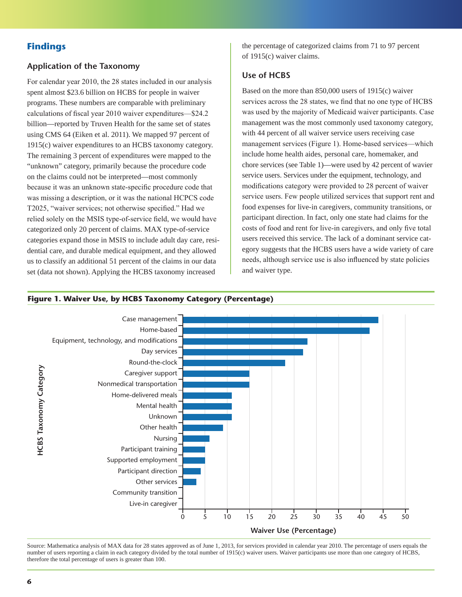## **Findings**

## **Application of the Taxonomy**

For calendar year 2010, the 28 states included in our analysis spent almost \$23.6 billion on HCBS for people in waiver programs. These numbers are comparable with preliminary calculations of fiscal year 2010 waiver expenditures—\$24.2 billion—reported by Truven Health for the same set of states using CMS 64 (Eiken et al. 2011). We mapped 97 percent of 1915(c) waiver expenditures to an HCBS taxonomy category. The remaining 3 percent of expenditures were mapped to the "unknown" category, primarily because the procedure code on the claims could not be interpreted—most commonly because it was an unknown state-specific procedure code that was missing a description, or it was the national HCPCS code T2025, "waiver services; not otherwise specified." Had we relied solely on the MSIS type-of-service field, we would have categorized only 20 percent of claims. MAX type-of-service categories expand those in MSIS to include adult day care, residential care, and durable medical equipment, and they allowed us to classify an additional 51 percent of the claims in our data set (data not shown). Applying the HCBS taxonomy increased

the percentage of categorized claims from 71 to 97 percent of 1915(c) waiver claims.

#### **Use of HCBS**

Based on the more than 850,000 users of 1915(c) waiver services across the 28 states, we find that no one type of HCBS was used by the majority of Medicaid waiver participants. Case management was the most commonly used taxonomy category, with 44 percent of all waiver service users receiving case management services (Figure 1). Home-based services—which include home health aides, personal care, homemaker, and chore services (see Table 1)—were used by 42 percent of wavier service users. Services under the equipment, technology, and modifications category were provided to 28 percent of waiver service users. Few people utilized services that support rent and food expenses for live-in caregivers, community transitions, or participant direction. In fact, only one state had claims for the costs of food and rent for live-in caregivers, and only five total users received this service. The lack of a dominant service category suggests that the HCBS users have a wide variety of care needs, although service use is also influenced by state policies and waiver type.





Source: Mathematica analysis of MAX data for 28 states approved as of June 1, 2013, for services provided in calendar year 2010. The percentage of users equals the number of users reporting a claim in each category divided by the total number of 1915(c) waiver users. Waiver participants use more than one category of HCBS, therefore the total percentage of users is greater than 100.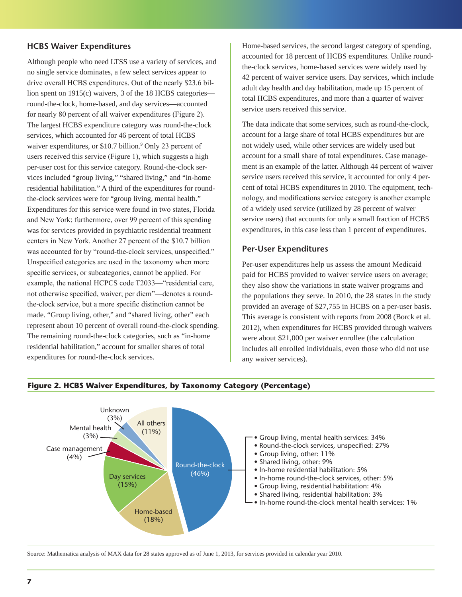#### **HCBS Waiver Expenditures**

Although people who need LTSS use a variety of services, and no single service dominates, a few select services appear to drive overall HCBS expenditures. Out of the nearly \$23.6 billion spent on 1915(c) waivers, 3 of the 18 HCBS categories round-the-clock, home-based, and day services—accounted for nearly 80 percent of all waiver expenditures (Figure 2). The largest HCBS expenditure category was round-the-clock services, which accounted for 46 percent of total HCBS waiver expenditures, or \$10.7 billion.<sup>9</sup> Only 23 percent of users received this service (Figure 1), which suggests a high per-user cost for this service category. Round-the-clock services included "group living," "shared living," and "in-home residential habilitation." A third of the expenditures for roundthe-clock services were for "group living, mental health." Expenditures for this service were found in two states, Florida and New York; furthermore, over 99 percent of this spending was for services provided in psychiatric residential treatment centers in New York. Another 27 percent of the \$10.7 billion was accounted for by "round-the-clock services, unspecified." Unspecified categories are used in the taxonomy when more specific services, or subcategories, cannot be applied. For example, the national HCPCS code T2033—"residential care, not otherwise specified, waiver; per diem"—denotes a roundthe-clock service, but a more specific distinction cannot be made. "Group living, other," and "shared living, other" each represent about 10 percent of overall round-the-clock spending. The remaining round-the-clock categories, such as "in-home residential habilitation," account for smaller shares of total expenditures for round-the-clock services.

Home-based services, the second largest category of spending, accounted for 18 percent of HCBS expenditures. Unlike roundthe-clock services, home-based services were widely used by 42 percent of waiver service users. Day services, which include adult day health and day habilitation, made up 15 percent of total HCBS expenditures, and more than a quarter of waiver service users received this service.

The data indicate that some services, such as round-the-clock, account for a large share of total HCBS expenditures but are not widely used, while other services are widely used but account for a small share of total expenditures. Case management is an example of the latter. Although 44 percent of waiver service users received this service, it accounted for only 4 percent of total HCBS expenditures in 2010. The equipment, technology, and modifications service category is another example of a widely used service (utilized by 28 percent of waiver service users) that accounts for only a small fraction of HCBS expenditures, in this case less than 1 percent of expenditures.

## **Per-User Expenditures**

Per-user expenditures help us assess the amount Medicaid paid for HCBS provided to waiver service users on average; they also show the variations in state waiver programs and the populations they serve. In 2010, the 28 states in the study provided an average of \$27,755 in HCBS on a per-user basis. This average is consistent with reports from 2008 (Borck et al. 2012), when expenditures for HCBS provided through waivers were about \$21,000 per waiver enrollee (the calculation includes all enrolled individuals, even those who did not use any waiver services).



#### **Figure 2. HCBS Waiver Expenditures, by Taxonomy Category (Percentage)**

Source: Mathematica analysis of MAX data for 28 states approved as of June 1, 2013, for services provided in calendar year 2010.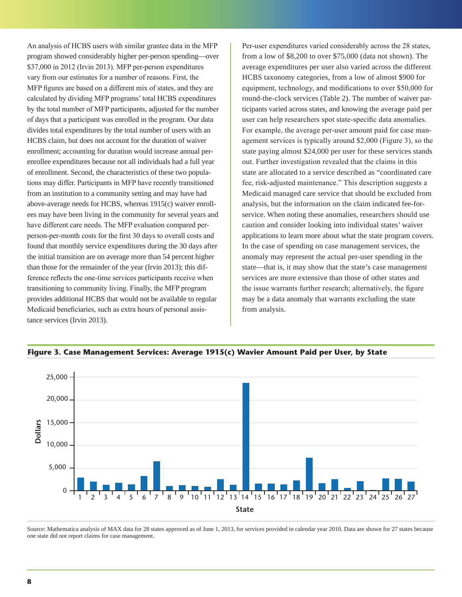An analysis of HCBS users with similar grantee data in the MFP program showed considerably higher per-person spending—over \$37,000 in 2012 (Irvin 2013). MFP per-person expenditures vary from our estimates for a number of reasons. First, the MFP figures are based on a different mix of states, and they are calculated by dividing MFP programs' total HCBS expenditures by the total number of MFP participants, adjusted for the number of days that a participant was enrolled in the program. Our data divides total expenditures by the total number of users with an HCBS claim, but does not account for the duration of waiver enrollment; accounting for duration would increase annual perenrollee expenditures because not all individuals had a full year of enrollment. Second, the characteristics of these two populations may differ. Participants in MFP have recently transitioned from an institution to a community setting and may have had above-average needs for HCBS, whereas 1915(c) waiver enrollees may have been living in the community for several years and have different care needs. The MFP evaluation compared perperson-per-month costs for the first 30 days to overall costs and found that monthly service expenditures during the 30 days after the initial transition are on average more than 54 percent higher than those for the remainder of the year (Irvin 2013); this difference reflects the one-time services participants receive when transitioning to community living. Finally, the MFP program provides additional HCBS that would not be available to regular Medicaid beneficiaries, such as extra hours of personal assistance services (Irvin 2013).

Per-user expenditures varied considerably across the 28 states, from a low of \$8,200 to over \$75,000 (data not shown). The average expenditures per user also varied across the different HCBS taxonomy categories, from a low of almost \$900 for equipment, technology, and modifications to over \$50,000 for round-the-clock services (Table 2). The number of waiver participants varied across states, and knowing the average paid per user can help researchers spot state-specific data anomalies. For example, the average per-user amount paid for case management services is typically around \$2,000 (Figure 3), so the state paying almost \$24,000 per user for these services stands out. Further investigation revealed that the claims in this state are allocated to a service described as "coordinated care fee, risk-adjusted maintenance." This description suggests a Medicaid managed care service that should be excluded from analysis, but the information on the claim indicated fee-forservice. When noting these anomalies, researchers should use caution and consider looking into individual states' waiver applications to learn more about what the state program covers. In the case of spending on case management services, the anomaly may represent the actual per-user spending in the state—that is, it may show that the state's case management services are more extensive than those of other states and the issue warrants further research; alternatively, the figure may be a data anomaly that warrants excluding the state from analysis.



**Figure 3. Case Management Services: Average 1915(c) Wavier Amount Paid per User, by State**

Source: Mathematica analysis of MAX data for 28 states approved as of June 1, 2013, for services provided in calendar year 2010. Data are shown for 27 states because one state did not report claims for case management.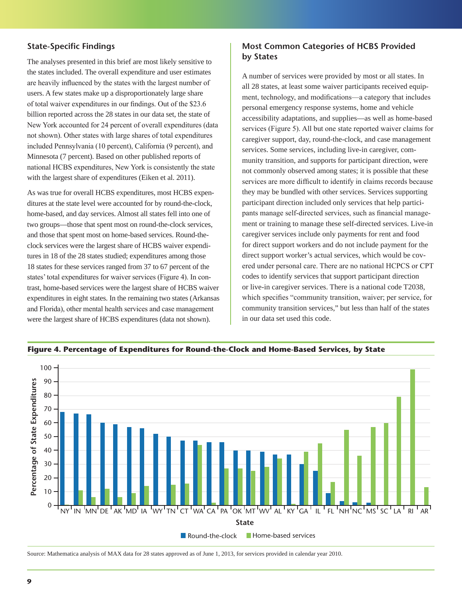## **State-Specific Findings**

The analyses presented in this brief are most likely sensitive to the states included. The overall expenditure and user estimates are heavily influenced by the states with the largest number of users. A few states make up a disproportionately large share of total waiver expenditures in our findings. Out of the \$23.6 billion reported across the 28 states in our data set, the state of New York accounted for 24 percent of overall expenditures (data not shown). Other states with large shares of total expenditures included Pennsylvania (10 percent), California (9 percent), and Minnesota (7 percent). Based on other published reports of national HCBS expenditures, New York is consistently the state with the largest share of expenditures (Eiken et al. 2011).

As was true for overall HCBS expenditures, most HCBS expenditures at the state level were accounted for by round-the-clock, home-based, and day services. Almost all states fell into one of two groups—those that spent most on round-the-clock services, and those that spent most on home-based services. Round-theclock services were the largest share of HCBS waiver expenditures in 18 of the 28 states studied; expenditures among those 18 states for these services ranged from 37 to 67 percent of the states' total expenditures for waiver services (Figure 4). In contrast, home-based services were the largest share of HCBS waiver expenditures in eight states. In the remaining two states (Arkansas and Florida), other mental health services and case management were the largest share of HCBS expenditures (data not shown).

## **Most Common Categories of HCBS Provided by States**

A number of services were provided by most or all states. In all 28 states, at least some waiver participants received equipment, technology, and modifications—a category that includes personal emergency response systems, home and vehicle accessibility adaptations, and supplies—as well as home-based services (Figure 5). All but one state reported waiver claims for caregiver support, day, round-the-clock, and case management services. Some services, including live-in caregiver, community transition, and supports for participant direction, were not commonly observed among states; it is possible that these services are more difficult to identify in claims records because they may be bundled with other services. Services supporting participant direction included only services that help participants manage self-directed services, such as financial management or training to manage these self-directed services. Live-in caregiver services include only payments for rent and food for direct support workers and do not include payment for the direct support worker's actual services, which would be covered under personal care. There are no national HCPCS or CPT codes to identify services that support participant direction or live-in caregiver services. There is a national code T2038, which specifies "community transition, waiver; per service, for community transition services," but less than half of the states in our data set used this code.



**Figure 4. Percentage of Expenditures for Round-the-Clock and Home-Based Services, by State**

Source: Mathematica analysis of MAX data for 28 states approved as of June 1, 2013, for services provided in calendar year 2010.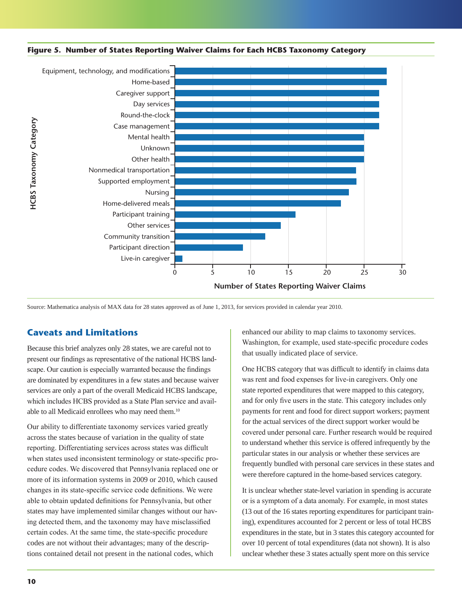

## **Figure 5. Number of States Reporting Waiver Claims for Each HCBS Taxonomy Category**

Source: Mathematica analysis of MAX data for 28 states approved as of June 1, 2013, for services provided in calendar year 2010.

## **Caveats and Limitations**

Because this brief analyzes only 28 states, we are careful not to present our findings as representative of the national HCBS landscape. Our caution is especially warranted because the findings are dominated by expenditures in a few states and because waiver services are only a part of the overall Medicaid HCBS landscape, which includes HCBS provided as a State Plan service and available to all Medicaid enrollees who may need them.10

Our ability to differentiate taxonomy services varied greatly across the states because of variation in the quality of state reporting. Differentiating services across states was difficult when states used inconsistent terminology or state-specific procedure codes. We discovered that Pennsylvania replaced one or more of its information systems in 2009 or 2010, which caused changes in its state-specific service code definitions. We were able to obtain updated definitions for Pennsylvania, but other states may have implemented similar changes without our having detected them, and the taxonomy may have misclassified certain codes. At the same time, the state-specific procedure codes are not without their advantages; many of the descriptions contained detail not present in the national codes, which

enhanced our ability to map claims to taxonomy services. Washington, for example, used state-specific procedure codes that usually indicated place of service.

One HCBS category that was difficult to identify in claims data was rent and food expenses for live-in caregivers. Only one state reported expenditures that were mapped to this category, and for only five users in the state. This category includes only payments for rent and food for direct support workers; payment for the actual services of the direct support worker would be covered under personal care. Further research would be required to understand whether this service is offered infrequently by the particular states in our analysis or whether these services are frequently bundled with personal care services in these states and were therefore captured in the home-based services category.

It is unclear whether state-level variation in spending is accurate or is a symptom of a data anomaly. For example, in most states (13 out of the 16 states reporting expenditures for participant training), expenditures accounted for 2 percent or less of total HCBS expenditures in the state, but in 3 states this category accounted for over 10 percent of total expenditures (data not shown). It is also unclear whether these 3 states actually spent more on this service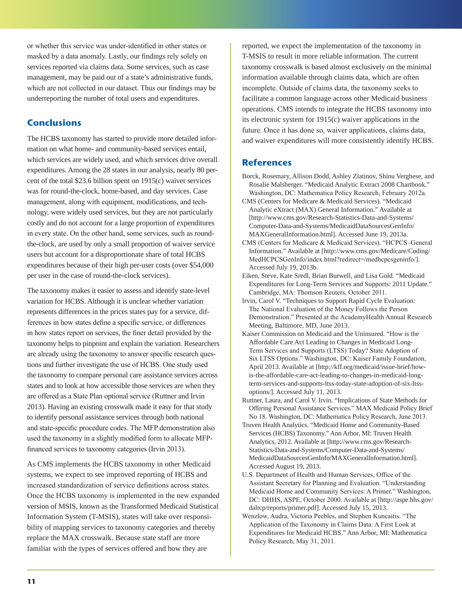or whether this service was under-identified in other states or masked by a data anomaly. Lastly, our findings rely solely on services reported via claims data. Some services, such as case management, may be paid out of a state's administrative funds, which are not collected in our dataset. Thus our findings may be underreporting the number of total users and expenditures.

## **Conclusions**

The HCBS taxonomy has started to provide more detailed information on what home- and community-based services entail, which services are widely used, and which services drive overall expenditures. Among the 28 states in our analysis, nearly 80 percent of the total \$23.6 billion spent on 1915(c) waiver services was for round-the-clock, home-based, and day services. Case management, along with equipment, modifications, and technology, were widely used services, but they are not particularly costly and do not account for a large proportion of expenditures in every state. On the other hand, some services, such as roundthe-clock, are used by only a small proportion of waiver service users but account for a disproportionate share of total HCBS expenditures because of their high per-user costs (over \$54,000 per user in the case of round-the-clock services).

The taxonomy makes it easier to assess and identify state-level variation for HCBS. Although it is unclear whether variation represents differences in the prices states pay for a service, differences in how states define a specific service, or differences in how states report on services, the finer detail provided by the taxonomy helps to pinpoint and explain the variation. Researchers are already using the taxonomy to answer specific research questions and further investigate the use of HCBS. One study used the taxonomy to compare personal care assistance services across states and to look at how accessible those services are when they are offered as a State Plan optional service (Ruttner and Irvin 2013). Having an existing crosswalk made it easy for that study to identify personal assistance services through both national and state-specific procedure codes. The MFP demonstration also used the taxonomy in a slightly modified form to allocate MFPfinanced services to taxonomy categories (Irvin 2013).

As CMS implements the HCBS taxonomy in other Medicaid systems, we expect to see improved reporting of HCBS and increased standardization of service definitions across states. Once the HCBS taxonomy is implemented in the new expanded version of MSIS, known as the Transformed Medicaid Statistical Information System (T-MSIS), states will take over responsibility of mapping services to taxonomy categories and thereby replace the MAX crosswalk. Because state staff are more familiar with the types of services offered and how they are

reported, we expect the implementation of the taxonomy in T-MSIS to result in more reliable information. The current taxonomy crosswalk is based almost exclusively on the minimal information available through claims data, which are often incomplete. Outside of claims data, the taxonomy seeks to facilitate a common language across other Medicaid business operations. CMS intends to integrate the HCBS taxonomy into its electronic system for 1915(c) waiver applications in the future. Once it has done so, waiver applications, claims data, and waiver expenditures will more consistently identify HCBS.

#### **References**

- Borck, Rosemary, Allison Dodd, Ashley Zlatinov, Shinu Verghese, and Rosalie Malsberger. "Medicaid Analytic Extract 2008 Chartbook." Washington, DC: Mathematica Policy Research, February 2012a.
- CMS (Centers for Medicare & Medicaid Services). "Medicaid Analytic eXtract (MAX) General Information." Available at [[http://www.cms.gov/Research-Statistics-Data-and-Systems/](http://www.cms.gov/Research-Statistics-Data-and-Systems/Computer-Data-and-Systems/MedicaidDataSourcesGenInfo/MAXGeneralInformation.html) [Computer-Data-and-Systems/MedicaidDataSourcesGenInfo/](http://www.cms.gov/Research-Statistics-Data-and-Systems/Computer-Data-and-Systems/MedicaidDataSourcesGenInfo/MAXGeneralInformation.html) [MAXGeneralInformation.html](http://www.cms.gov/Research-Statistics-Data-and-Systems/Computer-Data-and-Systems/MedicaidDataSourcesGenInfo/MAXGeneralInformation.html)]. Accessed June 19, 2013a.
- CMS (Centers for Medicare & Medicaid Services). "HCPCS–General Information." Available at [\[http://www.cms.gov/Medicare/Coding/](http://www.cms.gov/Medicare/Coding/MedHCPCSGenInfo/index.html?redirect=/medhcpcsgeninfo/) [MedHCPCSGenInfo/index.html?redirect=/medhcpcsgeninfo/](http://www.cms.gov/Medicare/Coding/MedHCPCSGenInfo/index.html?redirect=/medhcpcsgeninfo/)]. Accessed July 19, 2013b.
- Eiken, Steve, Kate Sredl, Brian Burwell, and Lisa Gold. "Medicaid Expenditures for Long-Term Services and Supports: 2011 Update." Cambridge, MA: Thomson Reuters, October 2011.
- Irvin, Carol V. "Techniques to Support Rapid Cycle Evaluation: The National Evaluation of the Money Follows the Person Demonstration." Presented at the AcademyHealth Annual Research Meeting, Baltimore, MD, June 2013.
- Kaiser Commission on Medicaid and the Uninsured. "How is the Affordable Care Act Leading to Changes in Medicaid Long-Term Services and Supports (LTSS) Today? State Adoption of Six LTSS Options." Washington, DC: Kaiser Family Foundation, April 2013. Available at [[http://kff.org/medicaid/issue-brief/how](http://kff.org/medicaid/issue-brief/how-is-the-affordable-care-act-leading-to-changes-in-medicaid-long-term-services-and-supports-ltss-today-state-adoption-of-six-ltss-options/)[is-the-affordable-care-act-leading-to-changes-in-medicaid-long](http://kff.org/medicaid/issue-brief/how-is-the-affordable-care-act-leading-to-changes-in-medicaid-long-term-services-and-supports-ltss-today-state-adoption-of-six-ltss-options/)[term-services-and-supports-ltss-today-state-adoption-of-six-ltss](http://kff.org/medicaid/issue-brief/how-is-the-affordable-care-act-leading-to-changes-in-medicaid-long-term-services-and-supports-ltss-today-state-adoption-of-six-ltss-options/)[options/](http://kff.org/medicaid/issue-brief/how-is-the-affordable-care-act-leading-to-changes-in-medicaid-long-term-services-and-supports-ltss-today-state-adoption-of-six-ltss-options/)]. Accessed July 11, 2013.
- Ruttner, Laura, and Carol V. Irvin. "Implications of State Methods for Offering Personal Assistance Services." MAX Medicaid Policy Brief No 18. Washington, DC: Mathematica Policy Research, June 2013.
- Truven Health Analytics. "Medicaid Home and Community-Based Services (HCBS) Taxonomy." Ann Arbor, MI: Truven Health Analytics, 2012. Available at [[http://www.cms.gov/Research-](http://www.cms.gov/Research-Statistics-Data-and-Systems/Computer-Data-and-Systems/MedicaidDataSourcesGenInfo/MAXGeneralInformation.html)[Statistics-Data-and-Systems/Computer-Data-and-Systems/](http://www.cms.gov/Research-Statistics-Data-and-Systems/Computer-Data-and-Systems/MedicaidDataSourcesGenInfo/MAXGeneralInformation.html) [MedicaidDataSourcesGenInfo/MAXGeneralInformation.html](http://www.cms.gov/Research-Statistics-Data-and-Systems/Computer-Data-and-Systems/MedicaidDataSourcesGenInfo/MAXGeneralInformation.html)]. Accessed August 19, 2013.
- U.S. Department of Health and Human Services, Office of the Assistant Secretary for Planning and Evaluation. "Understanding Medicaid Home and Community Services: A Primer." Washington, DC: DHHS, ASPE, October 2000. Available at [[http://aspe.hhs.gov/](http://aspe.hhs.gov/daltcp/reports/primer.pdf) [daltcp/reports/primer.pdf\]](http://aspe.hhs.gov/daltcp/reports/primer.pdf). Accessed July 15, 2013.
- Wenzlow, Audra, Victoria Peebles, and Stephen Kuncaitis. "The Application of the Taxonomy in Claims Data: A First Look at Expenditures for Medicaid HCBS." Ann Arbor, MI: Mathematica Policy Research, May 31, 2011.